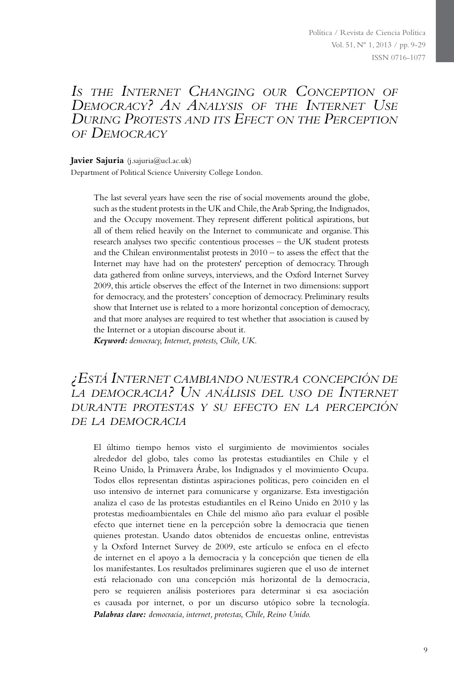# *Is the Internet Changing our Conception of Democracy? An Analysis of the Internet Use During Protests and its Efect on the Perception of Democracy*

**Javier Sajuria** (j.sajuria@ucl.ac.uk)

Department of Political Science University College London.

The last several years have seen the rise of social movements around the globe, such as the student protests in the UK and Chile, the Arab Spring, the Indignados, and the Occupy movement. They represent different political aspirations, but all of them relied heavily on the Internet to communicate and organise. This research analyses two specific contentious processes – the UK student protests and the Chilean environmentalist protests in 2010 – to assess the effect that the Internet may have had on the protesters' perception of democracy. Through data gathered from online surveys, interviews, and the Oxford Internet Survey 2009, this article observes the effect of the Internet in two dimensions: support for democracy, and the protesters' conception of democracy. Preliminary results show that Internet use is related to a more horizontal conception of democracy, and that more analyses are required to test whether that association is caused by the Internet or a utopian discourse about it.

*Keyword: democracy, Internet, protests, Chile, UK.*

# *¿Está Internet cambiando nuestra concepción de la democracia? Un análisis del uso de Internet durante protestas y su efecto en la percepción de la democracia*

El último tiempo hemos visto el surgimiento de movimientos sociales alrededor del globo, tales como las protestas estudiantiles en Chile y el Reino Unido, la Primavera Árabe, los Indignados y el movimiento Ocupa. Todos ellos representan distintas aspiraciones políticas, pero coinciden en el uso intensivo de internet para comunicarse y organizarse. Esta investigación analiza el caso de las protestas estudiantiles en el Reino Unido en 2010 y las protestas medioambientales en Chile del mismo año para evaluar el posible efecto que internet tiene en la percepción sobre la democracia que tienen quienes protestan. Usando datos obtenidos de encuestas online, entrevistas y la Oxford Internet Survey de 2009, este artículo se enfoca en el efecto de internet en el apoyo a la democracia y la concepción que tienen de ella los manifestantes. Los resultados preliminares sugieren que el uso de internet está relacionado con una concepción más horizontal de la democracia, pero se requieren análisis posteriores para determinar si esa asociación es causada por internet, o por un discurso utópico sobre la tecnología. *Palabras clave: democracia, internet, protestas, Chile, Reino Unido.*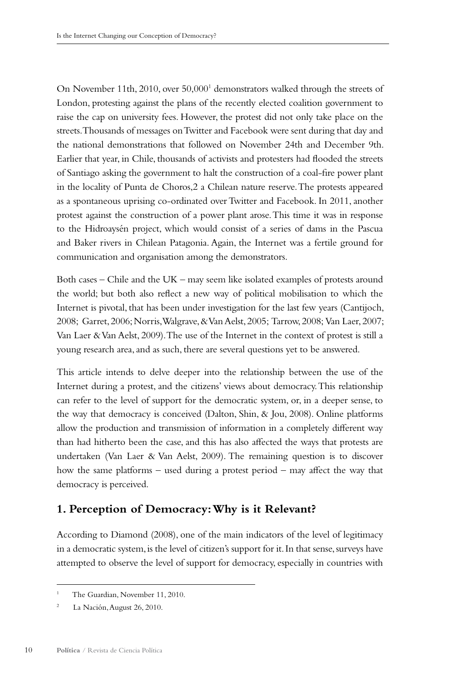On November 11th, 2010, over 50,000<sup>1</sup> demonstrators walked through the streets of London, protesting against the plans of the recently elected coalition government to raise the cap on university fees. However, the protest did not only take place on the streets. Thousands of messages on Twitter and Facebook were sent during that day and the national demonstrations that followed on November 24th and December 9th. Earlier that year, in Chile, thousands of activists and protesters had flooded the streets of Santiago asking the government to halt the construction of a coal-fire power plant in the locality of Punta de Choros,2 a Chilean nature reserve. The protests appeared as a spontaneous uprising co-ordinated over Twitter and Facebook. In 2011, another protest against the construction of a power plant arose. This time it was in response to the Hidroaysén project, which would consist of a series of dams in the Pascua and Baker rivers in Chilean Patagonia. Again, the Internet was a fertile ground for communication and organisation among the demonstrators.

Both cases – Chile and the UK – may seem like isolated examples of protests around the world; but both also reflect a new way of political mobilisation to which the Internet is pivotal, that has been under investigation for the last few years (Cantijoch, 2008; Garret, 2006; Norris, Walgrave, & Van Aelst, 2005; Tarrow, 2008; Van Laer, 2007; Van Laer & Van Aelst, 2009). The use of the Internet in the context of protest is still a young research area, and as such, there are several questions yet to be answered.

This article intends to delve deeper into the relationship between the use of the Internet during a protest, and the citizens' views about democracy. This relationship can refer to the level of support for the democratic system, or, in a deeper sense, to the way that democracy is conceived (Dalton, Shin, & Jou, 2008). Online platforms allow the production and transmission of information in a completely different way than had hitherto been the case, and this has also affected the ways that protests are undertaken (Van Laer & Van Aelst, 2009). The remaining question is to discover how the same platforms – used during a protest period – may affect the way that democracy is perceived.

# **1. Perception of Democracy: Why is it Relevant?**

According to Diamond (2008), one of the main indicators of the level of legitimacy in a democratic system, is the level of citizen's support for it. In that sense, surveys have attempted to observe the level of support for democracy, especially in countries with

The Guardian, November 11, 2010.

<sup>&</sup>lt;sup>2</sup> La Nación, August 26, 2010.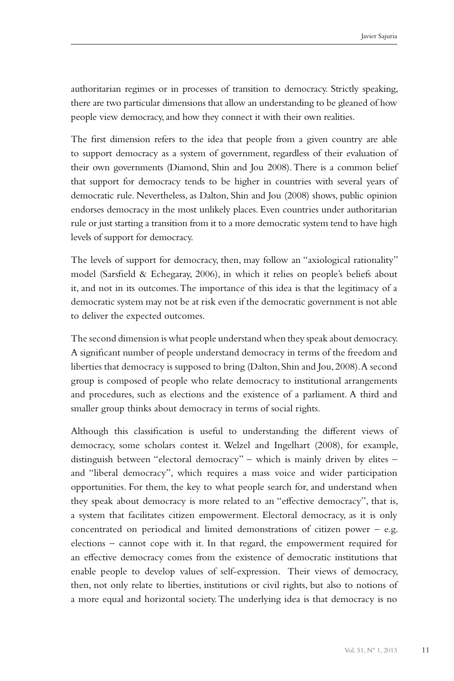authoritarian regimes or in processes of transition to democracy. Strictly speaking, there are two particular dimensions that allow an understanding to be gleaned of how people view democracy, and how they connect it with their own realities.

The first dimension refers to the idea that people from a given country are able to support democracy as a system of government, regardless of their evaluation of their own governments (Diamond, Shin and Jou 2008). There is a common belief that support for democracy tends to be higher in countries with several years of democratic rule. Nevertheless, as Dalton, Shin and Jou (2008) shows, public opinion endorses democracy in the most unlikely places. Even countries under authoritarian rule or just starting a transition from it to a more democratic system tend to have high levels of support for democracy.

The levels of support for democracy, then, may follow an "axiological rationality" model (Sarsfield & Echegaray, 2006), in which it relies on people's beliefs about it, and not in its outcomes. The importance of this idea is that the legitimacy of a democratic system may not be at risk even if the democratic government is not able to deliver the expected outcomes.

The second dimension is what people understand when they speak about democracy. A significant number of people understand democracy in terms of the freedom and liberties that democracy is supposed to bring (Dalton, Shin and Jou, 2008). A second group is composed of people who relate democracy to institutional arrangements and procedures, such as elections and the existence of a parliament. A third and smaller group thinks about democracy in terms of social rights.

Although this classification is useful to understanding the different views of democracy, some scholars contest it. Welzel and Ingelhart (2008), for example, distinguish between "electoral democracy" – which is mainly driven by elites – and "liberal democracy", which requires a mass voice and wider participation opportunities. For them, the key to what people search for, and understand when they speak about democracy is more related to an "effective democracy", that is, a system that facilitates citizen empowerment. Electoral democracy, as it is only concentrated on periodical and limited demonstrations of citizen power – e.g. elections – cannot cope with it. In that regard, the empowerment required for an effective democracy comes from the existence of democratic institutions that enable people to develop values of self-expression. Their views of democracy, then, not only relate to liberties, institutions or civil rights, but also to notions of a more equal and horizontal society. The underlying idea is that democracy is no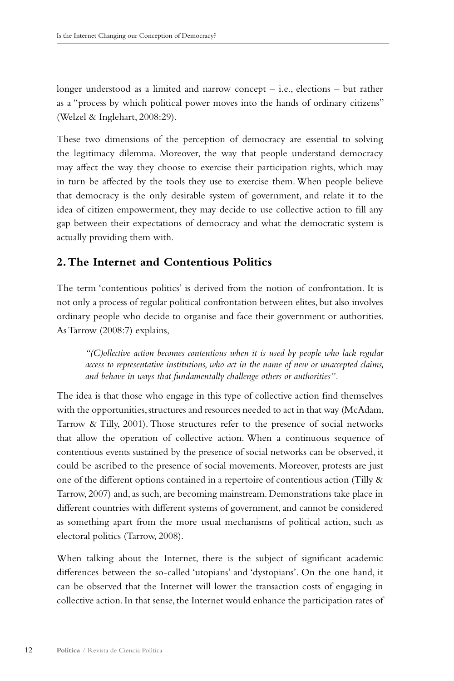longer understood as a limited and narrow concept – i.e., elections – but rather as a "process by which political power moves into the hands of ordinary citizens" (Welzel & Inglehart, 2008:29).

These two dimensions of the perception of democracy are essential to solving the legitimacy dilemma. Moreover, the way that people understand democracy may affect the way they choose to exercise their participation rights, which may in turn be affected by the tools they use to exercise them. When people believe that democracy is the only desirable system of government, and relate it to the idea of citizen empowerment, they may decide to use collective action to fill any gap between their expectations of democracy and what the democratic system is actually providing them with.

# **2. The Internet and Contentious Politics**

The term 'contentious politics' is derived from the notion of confrontation. It is not only a process of regular political confrontation between elites, but also involves ordinary people who decide to organise and face their government or authorities. As Tarrow (2008:7) explains,

*"(C)ollective action becomes contentious when it is used by people who lack regular access to representative institutions, who act in the name of new or unaccepted claims, and behave in ways that fundamentally challenge others or authorities".* 

The idea is that those who engage in this type of collective action find themselves with the opportunities, structures and resources needed to act in that way (McAdam, Tarrow & Tilly, 2001). Those structures refer to the presence of social networks that allow the operation of collective action. When a continuous sequence of contentious events sustained by the presence of social networks can be observed, it could be ascribed to the presence of social movements. Moreover, protests are just one of the different options contained in a repertoire of contentious action (Tilly & Tarrow, 2007) and, as such, are becoming mainstream. Demonstrations take place in different countries with different systems of government, and cannot be considered as something apart from the more usual mechanisms of political action, such as electoral politics (Tarrow, 2008).

When talking about the Internet, there is the subject of significant academic differences between the so-called 'utopians' and 'dystopians'. On the one hand, it can be observed that the Internet will lower the transaction costs of engaging in collective action. In that sense, the Internet would enhance the participation rates of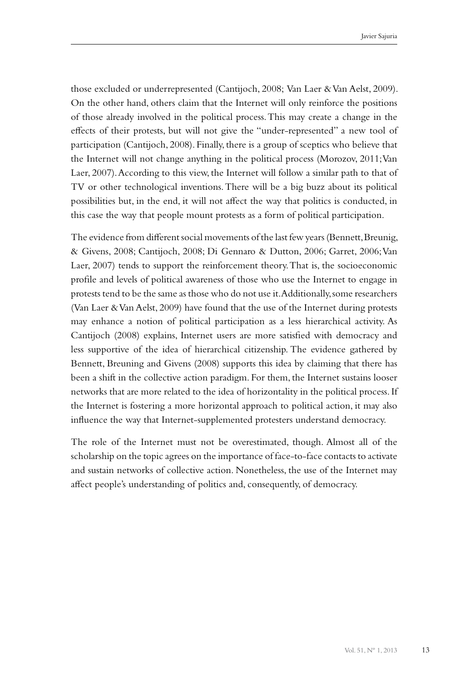those excluded or underrepresented (Cantijoch, 2008; Van Laer & Van Aelst, 2009). On the other hand, others claim that the Internet will only reinforce the positions of those already involved in the political process. This may create a change in the effects of their protests, but will not give the "under-represented" a new tool of participation (Cantijoch, 2008). Finally, there is a group of sceptics who believe that the Internet will not change anything in the political process (Morozov, 2011; Van Laer, 2007). According to this view, the Internet will follow a similar path to that of TV or other technological inventions. There will be a big buzz about its political possibilities but, in the end, it will not affect the way that politics is conducted, in this case the way that people mount protests as a form of political participation.

The evidence from different social movements of the last few years (Bennett, Breunig, & Givens, 2008; Cantijoch, 2008; Di Gennaro & Dutton, 2006; Garret, 2006; Van Laer, 2007) tends to support the reinforcement theory. That is, the socioeconomic profile and levels of political awareness of those who use the Internet to engage in protests tend to be the same as those who do not use it. Additionally, some researchers (Van Laer & Van Aelst, 2009) have found that the use of the Internet during protests may enhance a notion of political participation as a less hierarchical activity. As Cantijoch (2008) explains, Internet users are more satisfied with democracy and less supportive of the idea of hierarchical citizenship. The evidence gathered by Bennett, Breuning and Givens (2008) supports this idea by claiming that there has been a shift in the collective action paradigm. For them, the Internet sustains looser networks that are more related to the idea of horizontality in the political process. If the Internet is fostering a more horizontal approach to political action, it may also influence the way that Internet-supplemented protesters understand democracy.

The role of the Internet must not be overestimated, though. Almost all of the scholarship on the topic agrees on the importance of face-to-face contacts to activate and sustain networks of collective action. Nonetheless, the use of the Internet may affect people's understanding of politics and, consequently, of democracy.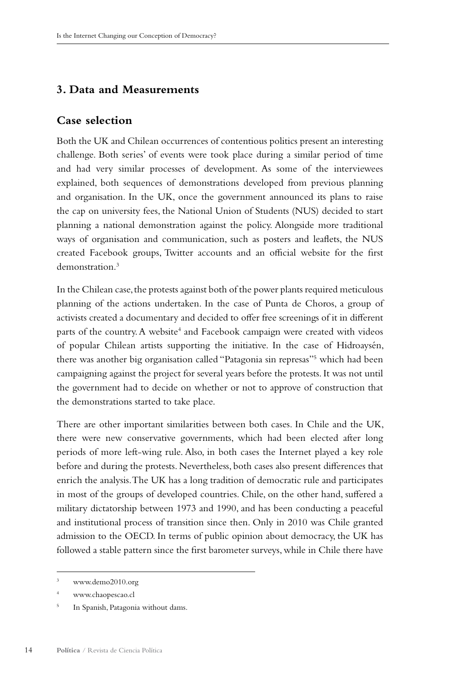### **3. Data and Measurements**

### **Case selection**

Both the UK and Chilean occurrences of contentious politics present an interesting challenge. Both series' of events were took place during a similar period of time and had very similar processes of development. As some of the interviewees explained, both sequences of demonstrations developed from previous planning and organisation. In the UK, once the government announced its plans to raise the cap on university fees, the National Union of Students (NUS) decided to start planning a national demonstration against the policy. Alongside more traditional ways of organisation and communication, such as posters and leaflets, the NUS created Facebook groups, Twitter accounts and an official website for the first demonstration.3

In the Chilean case, the protests against both of the power plants required meticulous planning of the actions undertaken. In the case of Punta de Choros, a group of activists created a documentary and decided to offer free screenings of it in different parts of the country. A website<sup>4</sup> and Facebook campaign were created with videos of popular Chilean artists supporting the initiative. In the case of Hidroaysén, there was another big organisation called "Patagonia sin represas"<sup>5</sup> which had been campaigning against the project for several years before the protests. It was not until the government had to decide on whether or not to approve of construction that the demonstrations started to take place.

There are other important similarities between both cases. In Chile and the UK, there were new conservative governments, which had been elected after long periods of more left-wing rule. Also, in both cases the Internet played a key role before and during the protests. Nevertheless, both cases also present differences that enrich the analysis. The UK has a long tradition of democratic rule and participates in most of the groups of developed countries. Chile, on the other hand, suffered a military dictatorship between 1973 and 1990, and has been conducting a peaceful and institutional process of transition since then. Only in 2010 was Chile granted admission to the OECD. In terms of public opinion about democracy, the UK has followed a stable pattern since the first barometer surveys, while in Chile there have

<sup>3</sup> www.demo2010.org

<sup>4</sup> www.chaopescao.cl

<sup>&</sup>lt;sup>5</sup> In Spanish, Patagonia without dams.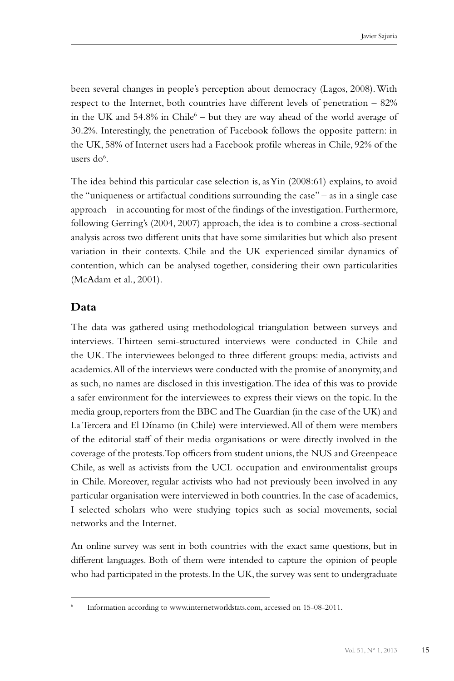been several changes in people's perception about democracy (Lagos, 2008). With respect to the Internet, both countries have different levels of penetration – 82% in the UK and  $54.8\%$  in Chile<sup>6</sup> – but they are way ahead of the world average of 30.2%. Interestingly, the penetration of Facebook follows the opposite pattern: in the UK, 58% of Internet users had a Facebook profile whereas in Chile, 92% of the users do<sup>6</sup>.

The idea behind this particular case selection is, as Yin (2008:61) explains, to avoid the "uniqueness or artifactual conditions surrounding the case" – as in a single case approach – in accounting for most of the findings of the investigation. Furthermore, following Gerring's (2004, 2007) approach, the idea is to combine a cross-sectional analysis across two different units that have some similarities but which also present variation in their contexts. Chile and the UK experienced similar dynamics of contention, which can be analysed together, considering their own particularities (McAdam et al., 2001).

#### **Data**

The data was gathered using methodological triangulation between surveys and interviews. Thirteen semi-structured interviews were conducted in Chile and the UK. The interviewees belonged to three different groups: media, activists and academics. All of the interviews were conducted with the promise of anonymity, and as such, no names are disclosed in this investigation. The idea of this was to provide a safer environment for the interviewees to express their views on the topic. In the media group, reporters from the BBC and The Guardian (in the case of the UK) and La Tercera and El Dínamo (in Chile) were interviewed. All of them were members of the editorial staff of their media organisations or were directly involved in the coverage of the protests. Top officers from student unions, the NUS and Greenpeace Chile, as well as activists from the UCL occupation and environmentalist groups in Chile. Moreover, regular activists who had not previously been involved in any particular organisation were interviewed in both countries. In the case of academics, I selected scholars who were studying topics such as social movements, social networks and the Internet.

An online survey was sent in both countries with the exact same questions, but in different languages. Both of them were intended to capture the opinion of people who had participated in the protests. In the UK, the survey was sent to undergraduate

Information according to www.internetworldstats.com, accessed on 15-08-2011.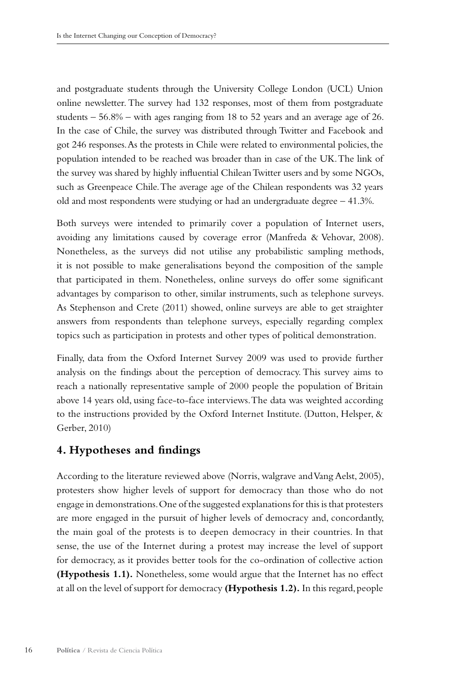and postgraduate students through the University College London (UCL) Union online newsletter. The survey had 132 responses, most of them from postgraduate students  $-56.8\%$  – with ages ranging from 18 to 52 years and an average age of 26. In the case of Chile, the survey was distributed through Twitter and Facebook and got 246 responses. As the protests in Chile were related to environmental policies, the population intended to be reached was broader than in case of the UK. The link of the survey was shared by highly influential Chilean Twitter users and by some NGOs, such as Greenpeace Chile. The average age of the Chilean respondents was 32 years old and most respondents were studying or had an undergraduate degree – 41.3%.

Both surveys were intended to primarily cover a population of Internet users, avoiding any limitations caused by coverage error (Manfreda & Vehovar, 2008). Nonetheless, as the surveys did not utilise any probabilistic sampling methods, it is not possible to make generalisations beyond the composition of the sample that participated in them. Nonetheless, online surveys do offer some significant advantages by comparison to other, similar instruments, such as telephone surveys. As Stephenson and Crete (2011) showed, online surveys are able to get straighter answers from respondents than telephone surveys, especially regarding complex topics such as participation in protests and other types of political demonstration.

Finally, data from the Oxford Internet Survey 2009 was used to provide further analysis on the findings about the perception of democracy. This survey aims to reach a nationally representative sample of 2000 people the population of Britain above 14 years old, using face-to-face interviews. The data was weighted according to the instructions provided by the Oxford Internet Institute. (Dutton, Helsper, & Gerber, 2010)

#### **4. Hypotheses and findings**

According to the literature reviewed above (Norris, walgrave and Vang Aelst, 2005), protesters show higher levels of support for democracy than those who do not engage in demonstrations. One of the suggested explanations for this is that protesters are more engaged in the pursuit of higher levels of democracy and, concordantly, the main goal of the protests is to deepen democracy in their countries. In that sense, the use of the Internet during a protest may increase the level of support for democracy, as it provides better tools for the co-ordination of collective action **(Hypothesis 1.1).** Nonetheless, some would argue that the Internet has no effect at all on the level of support for democracy **(Hypothesis 1.2).** In this regard, people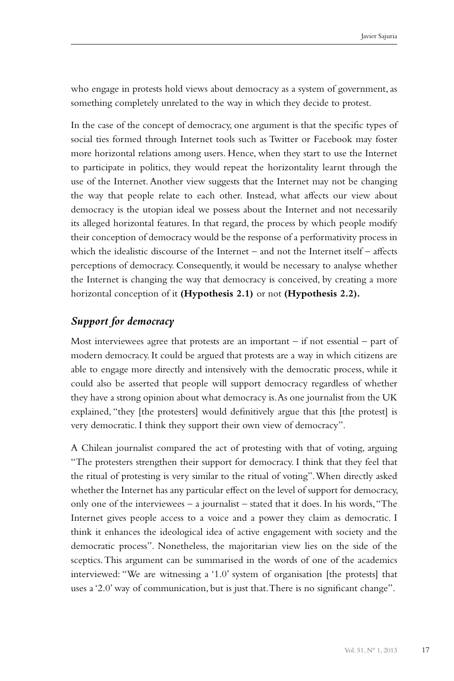who engage in protests hold views about democracy as a system of government, as something completely unrelated to the way in which they decide to protest.

In the case of the concept of democracy, one argument is that the specific types of social ties formed through Internet tools such as Twitter or Facebook may foster more horizontal relations among users. Hence, when they start to use the Internet to participate in politics, they would repeat the horizontality learnt through the use of the Internet. Another view suggests that the Internet may not be changing the way that people relate to each other. Instead, what affects our view about democracy is the utopian ideal we possess about the Internet and not necessarily its alleged horizontal features. In that regard, the process by which people modify their conception of democracy would be the response of a performativity process in which the idealistic discourse of the Internet – and not the Internet itself – affects perceptions of democracy. Consequently, it would be necessary to analyse whether the Internet is changing the way that democracy is conceived, by creating a more horizontal conception of it **(Hypothesis 2.1)** or not **(Hypothesis 2.2).**

### *Support for democracy*

Most interviewees agree that protests are an important  $-$  if not essential  $-$  part of modern democracy. It could be argued that protests are a way in which citizens are able to engage more directly and intensively with the democratic process, while it could also be asserted that people will support democracy regardless of whether they have a strong opinion about what democracy is. As one journalist from the UK explained, "they [the protesters] would definitively argue that this [the protest] is very democratic. I think they support their own view of democracy".

A Chilean journalist compared the act of protesting with that of voting, arguing "The protesters strengthen their support for democracy. I think that they feel that the ritual of protesting is very similar to the ritual of voting". When directly asked whether the Internet has any particular effect on the level of support for democracy, only one of the interviewees – a journalist – stated that it does. In his words, "The Internet gives people access to a voice and a power they claim as democratic. I think it enhances the ideological idea of active engagement with society and the democratic process". Nonetheless, the majoritarian view lies on the side of the sceptics. This argument can be summarised in the words of one of the academics interviewed: "We are witnessing a '1.0' system of organisation [the protests] that uses a '2.0' way of communication, but is just that. There is no significant change".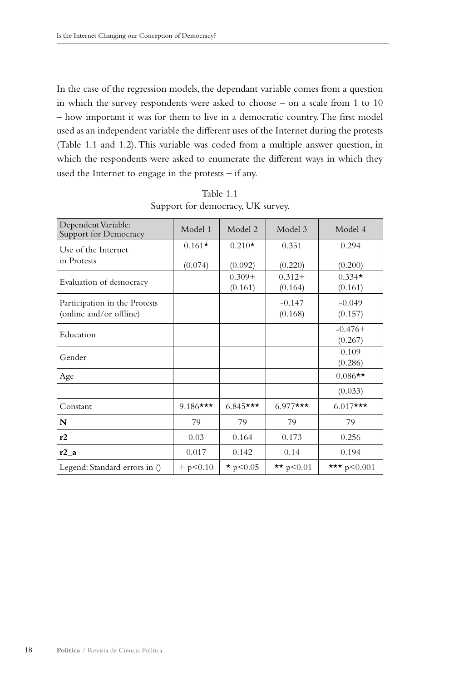In the case of the regression models, the dependant variable comes from a question in which the survey respondents were asked to choose – on a scale from 1 to 10 – how important it was for them to live in a democratic country. The first model used as an independent variable the different uses of the Internet during the protests (Table 1.1 and 1.2). This variable was coded from a multiple answer question, in which the respondents were asked to enumerate the different ways in which they used the Internet to engage in the protests – if any.

| Dependent Variable:<br>Support for Democracy | Model 1        | Model 2          | Model 3       | Model 4         |
|----------------------------------------------|----------------|------------------|---------------|-----------------|
| Use of the Internet                          | $0.161*$       | $0.210*$         | 0.351         | 0.294           |
| in Protests                                  | (0.074)        | (0.092)          | (0.220)       | (0.200)         |
| Evaluation of democracy                      |                | $0.309+$         | $0.312+$      | $0.334*$        |
|                                              |                | (0.161)          | (0.164)       | (0.161)         |
| Participation in the Protests                |                |                  | $-0.147$      | $-0.049$        |
| (online and/or offline)                      |                |                  | (0.168)       | (0.157)         |
| Education                                    |                |                  |               | $-0.476+$       |
|                                              |                |                  |               | (0.267)         |
| Gender                                       |                |                  |               | 0.109           |
|                                              |                |                  |               | (0.286)         |
| Age                                          |                |                  |               | $0.086**$       |
|                                              |                |                  |               | (0.033)         |
| Constant                                     | $9.186***$     | $6.845***$       | $6.977***$    | $6.017***$      |
| N                                            | 79             | 79               | 79            | 79              |
| r2                                           | 0.03           | 0.164            | 0.173         | 0.256           |
| r2a                                          | 0.017          | 0.142            | 0.14          | 0.194           |
| Legend: Standard errors in ()                | $+$ p $< 0.10$ | $\star$ p < 0.05 | ** $p < 0.01$ | *** $p < 0.001$ |

Table 1.1 Support for democracy, UK survey.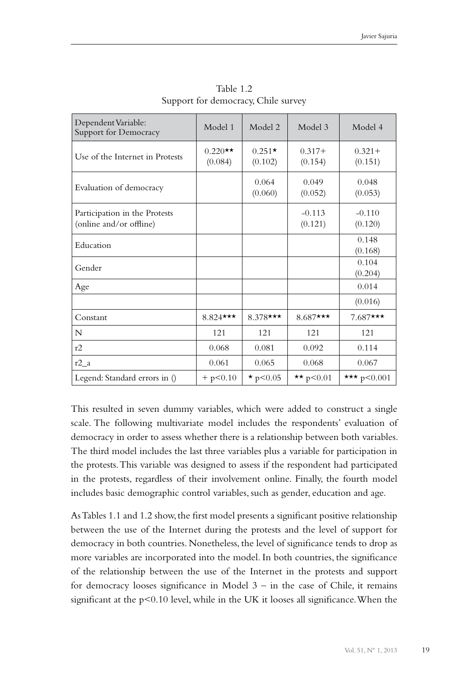| Dependent Variable:<br>Support for Democracy             | Model 1              | Model 2             | Model 3             | Model 4              |
|----------------------------------------------------------|----------------------|---------------------|---------------------|----------------------|
| Use of the Internet in Protests                          | $0.220**$<br>(0.084) | $0.251*$<br>(0.102) | $0.317+$<br>(0.154) | $0.321 +$<br>(0.151) |
| Evaluation of democracy                                  |                      | 0.064<br>(0.060)    | 0.049<br>(0.052)    | 0.048<br>(0.053)     |
| Participation in the Protests<br>(online and/or offline) |                      |                     | $-0.113$<br>(0.121) | $-0.110$<br>(0.120)  |
| Education                                                |                      |                     |                     | 0.148<br>(0.168)     |
| Gender                                                   |                      |                     |                     | 0.104<br>(0.204)     |
| Age                                                      |                      |                     |                     | 0.014                |
|                                                          |                      |                     |                     | (0.016)              |
| Constant                                                 | $8.824$ ***          | $8.378$ ***         | $8.687$ ***         | $7.687$ ***          |
| N                                                        | 121                  | 121                 | 121                 | 121                  |
| r2                                                       | 0.068                | 0.081               | 0.092               | 0.114                |
| $r2_a$                                                   | 0.061                | 0.065               | 0.068               | 0.067                |
| Legend: Standard errors in ()                            | $+$ p $< 0.10$       | $\star$ p < 0.05    | ** $p < 0.01$       | *** $p < 0.001$      |

Table 1.2 Support for democracy, Chile survey

This resulted in seven dummy variables, which were added to construct a single scale. The following multivariate model includes the respondents' evaluation of democracy in order to assess whether there is a relationship between both variables. The third model includes the last three variables plus a variable for participation in the protests. This variable was designed to assess if the respondent had participated in the protests, regardless of their involvement online. Finally, the fourth model includes basic demographic control variables, such as gender, education and age.

As Tables 1.1 and 1.2 show, the first model presents a significant positive relationship between the use of the Internet during the protests and the level of support for democracy in both countries. Nonetheless, the level of significance tends to drop as more variables are incorporated into the model. In both countries, the significance of the relationship between the use of the Internet in the protests and support for democracy looses significance in Model  $3 -$  in the case of Chile, it remains significant at the  $p<0.10$  level, while in the UK it looses all significance. When the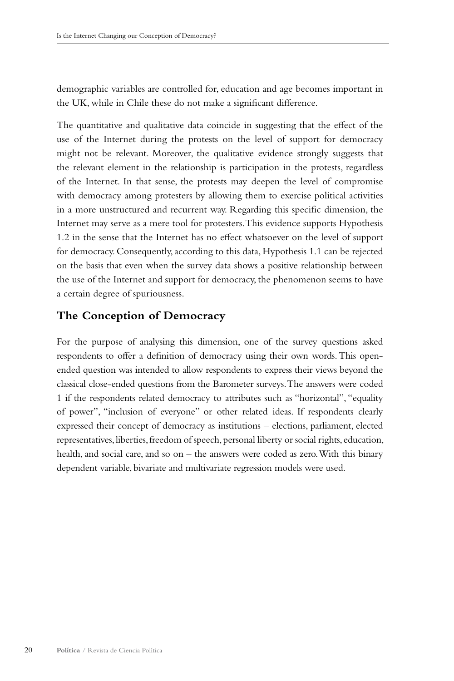demographic variables are controlled for, education and age becomes important in the UK, while in Chile these do not make a significant difference.

The quantitative and qualitative data coincide in suggesting that the effect of the use of the Internet during the protests on the level of support for democracy might not be relevant. Moreover, the qualitative evidence strongly suggests that the relevant element in the relationship is participation in the protests, regardless of the Internet. In that sense, the protests may deepen the level of compromise with democracy among protesters by allowing them to exercise political activities in a more unstructured and recurrent way. Regarding this specific dimension, the Internet may serve as a mere tool for protesters. This evidence supports Hypothesis 1.2 in the sense that the Internet has no effect whatsoever on the level of support for democracy. Consequently, according to this data, Hypothesis 1.1 can be rejected on the basis that even when the survey data shows a positive relationship between the use of the Internet and support for democracy, the phenomenon seems to have a certain degree of spuriousness.

### **The Conception of Democracy**

For the purpose of analysing this dimension, one of the survey questions asked respondents to offer a definition of democracy using their own words. This openended question was intended to allow respondents to express their views beyond the classical close-ended questions from the Barometer surveys. The answers were coded 1 if the respondents related democracy to attributes such as "horizontal", "equality of power", "inclusion of everyone" or other related ideas. If respondents clearly expressed their concept of democracy as institutions – elections, parliament, elected representatives, liberties, freedom of speech, personal liberty or social rights, education, health, and social care, and so on – the answers were coded as zero. With this binary dependent variable, bivariate and multivariate regression models were used.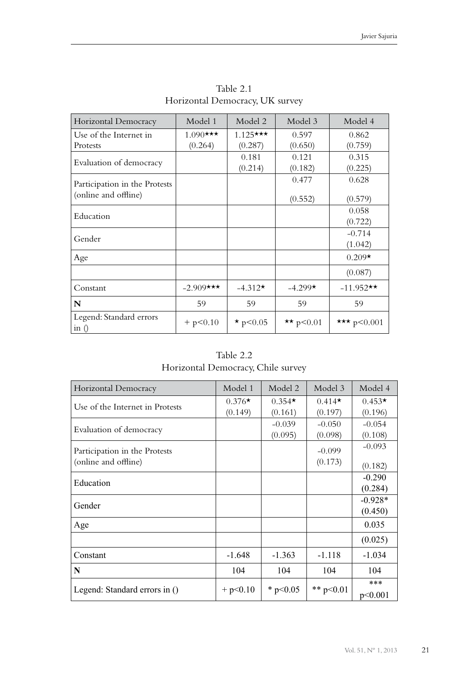| Horizontal Democracy                                  | Model 1                | Model 2               | Model 3          | Model 4             |
|-------------------------------------------------------|------------------------|-----------------------|------------------|---------------------|
| Use of the Internet in<br>Protests                    | $1.090$ ***<br>(0.264) | $1.125***$<br>(0.287) | 0.597<br>(0.650) | 0.862<br>(0.759)    |
| Evaluation of democracy                               |                        | 0.181<br>(0.214)      | 0.121<br>(0.182) | 0.315<br>(0.225)    |
| Participation in the Protests<br>(online and offline) |                        |                       | 0.477<br>(0.552) | 0.628<br>(0.579)    |
| Education                                             |                        |                       |                  | 0.058<br>(0.722)    |
| Gender                                                |                        |                       |                  | $-0.714$<br>(1.042) |
| Age                                                   |                        |                       |                  | $0.209*$            |
|                                                       |                        |                       |                  | (0.087)             |
| Constant                                              | $-2.909$ ***           | $-4.312*$             | $-4.299*$        | $-11.952**$         |
| N                                                     | 59                     | 59                    | 59               | 59                  |
| Legend: Standard errors<br>in $()$                    | $+$ p $< 0.10$         | $*$ p < 0.05          | ** $p < 0.01$    | *** $p < 0.001$     |

Table 2.1 Horizontal Democracy, UK survey

Table 2.2 Horizontal Democracy, Chile survey

| Horizontal Democracy            | Model 1        | Model 2    | Model 3     | Model 4   |
|---------------------------------|----------------|------------|-------------|-----------|
| Use of the Internet in Protests | $0.376*$       | $0.354*$   | $0.414*$    | $0.453*$  |
|                                 | (0.149)        | (0.161)    | (0.197)     | (0.196)   |
| Evaluation of democracy         |                | $-0.039$   | $-0.050$    | $-0.054$  |
|                                 |                | (0.095)    | (0.098)     | (0.108)   |
| Participation in the Protests   |                |            | $-0.099$    | $-0.093$  |
| (online and offline)            |                |            | (0.173)     | (0.182)   |
| Education                       |                |            |             | $-0.290$  |
|                                 |                |            |             | (0.284)   |
| Gender                          |                |            |             | $-0.928*$ |
|                                 |                |            |             | (0.450)   |
| Age                             |                |            |             | 0.035     |
|                                 |                |            |             | (0.025)   |
| Constant                        | $-1.648$       | $-1.363$   | $-1.118$    | $-1.034$  |
| N                               | 104            | 104        | 104         | 104       |
|                                 |                |            |             | ***       |
| Legend: Standard errors in ()   | $+$ p $< 0.10$ | * $p<0.05$ | ** $p<0.01$ | p<0.001   |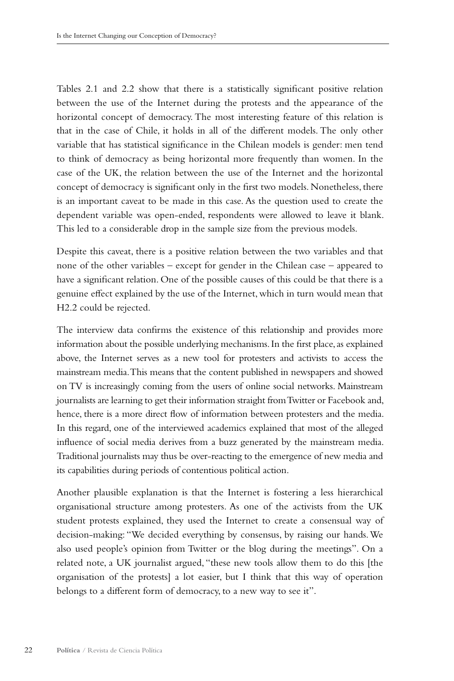Tables 2.1 and 2.2 show that there is a statistically significant positive relation between the use of the Internet during the protests and the appearance of the horizontal concept of democracy. The most interesting feature of this relation is that in the case of Chile, it holds in all of the different models. The only other variable that has statistical significance in the Chilean models is gender: men tend to think of democracy as being horizontal more frequently than women. In the case of the UK, the relation between the use of the Internet and the horizontal concept of democracy is significant only in the first two models. Nonetheless, there is an important caveat to be made in this case. As the question used to create the dependent variable was open-ended, respondents were allowed to leave it blank. This led to a considerable drop in the sample size from the previous models.

Despite this caveat, there is a positive relation between the two variables and that none of the other variables – except for gender in the Chilean case – appeared to have a significant relation. One of the possible causes of this could be that there is a genuine effect explained by the use of the Internet, which in turn would mean that H2.2 could be rejected.

The interview data confirms the existence of this relationship and provides more information about the possible underlying mechanisms. In the first place, as explained above, the Internet serves as a new tool for protesters and activists to access the mainstream media. This means that the content published in newspapers and showed on TV is increasingly coming from the users of online social networks. Mainstream journalists are learning to get their information straight from Twitter or Facebook and, hence, there is a more direct flow of information between protesters and the media. In this regard, one of the interviewed academics explained that most of the alleged influence of social media derives from a buzz generated by the mainstream media. Traditional journalists may thus be over-reacting to the emergence of new media and its capabilities during periods of contentious political action.

Another plausible explanation is that the Internet is fostering a less hierarchical organisational structure among protesters. As one of the activists from the UK student protests explained, they used the Internet to create a consensual way of decision-making: "We decided everything by consensus, by raising our hands. We also used people's opinion from Twitter or the blog during the meetings". On a related note, a UK journalist argued, "these new tools allow them to do this [the organisation of the protests] a lot easier, but I think that this way of operation belongs to a different form of democracy, to a new way to see it".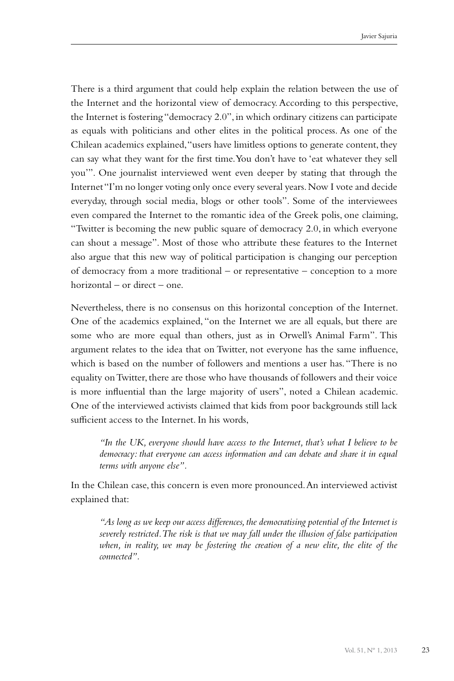There is a third argument that could help explain the relation between the use of the Internet and the horizontal view of democracy. According to this perspective, the Internet is fostering "democracy 2.0", in which ordinary citizens can participate as equals with politicians and other elites in the political process. As one of the Chilean academics explained, "users have limitless options to generate content, they can say what they want for the first time. You don't have to 'eat whatever they sell you'". One journalist interviewed went even deeper by stating that through the Internet "I'm no longer voting only once every several years. Now I vote and decide everyday, through social media, blogs or other tools". Some of the interviewees even compared the Internet to the romantic idea of the Greek polis, one claiming, "Twitter is becoming the new public square of democracy 2.0, in which everyone can shout a message". Most of those who attribute these features to the Internet also argue that this new way of political participation is changing our perception of democracy from a more traditional – or representative – conception to a more horizontal – or direct – one.

Nevertheless, there is no consensus on this horizontal conception of the Internet. One of the academics explained, "on the Internet we are all equals, but there are some who are more equal than others, just as in Orwell's Animal Farm". This argument relates to the idea that on Twitter, not everyone has the same influence, which is based on the number of followers and mentions a user has. "There is no equality on Twitter, there are those who have thousands of followers and their voice is more influential than the large majority of users", noted a Chilean academic. One of the interviewed activists claimed that kids from poor backgrounds still lack sufficient access to the Internet. In his words,

*"In the UK, everyone should have access to the Internet, that's what I believe to be democracy: that everyone can access information and can debate and share it in equal terms with anyone else".*

In the Chilean case, this concern is even more pronounced. An interviewed activist explained that:

*"As long as we keep our access differences, the democratising potential of the Internet is severely restricted. The risk is that we may fall under the illusion of false participation when, in reality, we may be fostering the creation of a new elite, the elite of the connected".*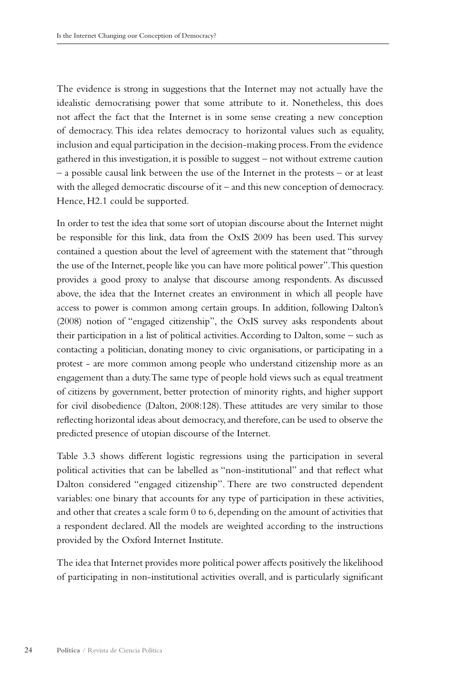The evidence is strong in suggestions that the Internet may not actually have the idealistic democratising power that some attribute to it. Nonetheless, this does not affect the fact that the Internet is in some sense creating a new conception of democracy. This idea relates democracy to horizontal values such as equality, inclusion and equal participation in the decision-making process. From the evidence gathered in this investigation, it is possible to suggest – not without extreme caution – a possible causal link between the use of the Internet in the protests – or at least with the alleged democratic discourse of it – and this new conception of democracy. Hence, H2.1 could be supported.

In order to test the idea that some sort of utopian discourse about the Internet might be responsible for this link, data from the OxIS 2009 has been used. This survey contained a question about the level of agreement with the statement that "through the use of the Internet, people like you can have more political power". This question provides a good proxy to analyse that discourse among respondents. As discussed above, the idea that the Internet creates an environment in which all people have access to power is common among certain groups. In addition, following Dalton's (2008) notion of "engaged citizenship", the OxIS survey asks respondents about their participation in a list of political activities. According to Dalton, some – such as contacting a politician, donating money to civic organisations, or participating in a protest - are more common among people who understand citizenship more as an engagement than a duty. The same type of people hold views such as equal treatment of citizens by government, better protection of minority rights, and higher support for civil disobedience (Dalton, 2008:128). These attitudes are very similar to those reflecting horizontal ideas about democracy, and therefore, can be used to observe the predicted presence of utopian discourse of the Internet.

Table 3.3 shows different logistic regressions using the participation in several political activities that can be labelled as "non-institutional" and that reflect what Dalton considered "engaged citizenship". There are two constructed dependent variables: one binary that accounts for any type of participation in these activities, and other that creates a scale form 0 to 6, depending on the amount of activities that a respondent declared. All the models are weighted according to the instructions provided by the Oxford Internet Institute.

The idea that Internet provides more political power affects positively the likelihood of participating in non-institutional activities overall, and is particularly significant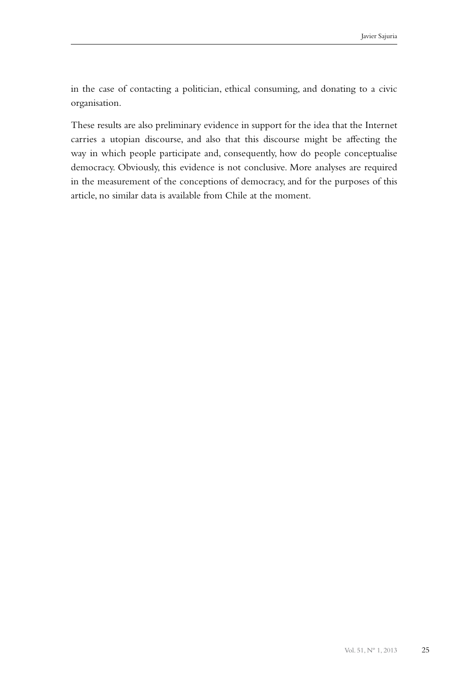in the case of contacting a politician, ethical consuming, and donating to a civic organisation.

These results are also preliminary evidence in support for the idea that the Internet carries a utopian discourse, and also that this discourse might be affecting the way in which people participate and, consequently, how do people conceptualise democracy. Obviously, this evidence is not conclusive. More analyses are required in the measurement of the conceptions of democracy, and for the purposes of this article, no similar data is available from Chile at the moment.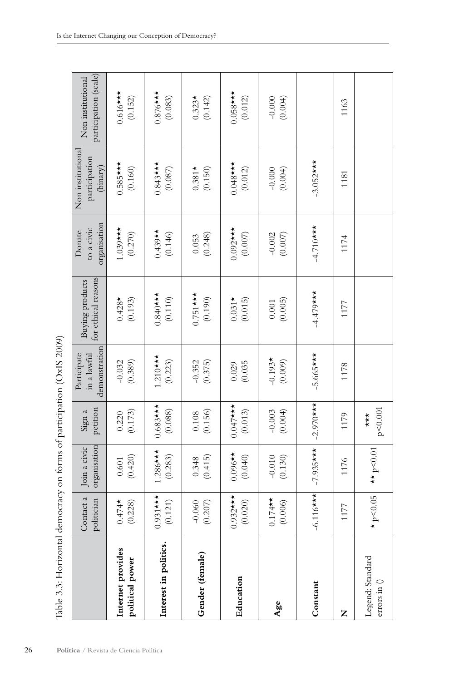| $\sim$ $\sim$ $\sim$                             |  |
|--------------------------------------------------|--|
|                                                  |  |
| $\frac{1}{2}$                                    |  |
|                                                  |  |
|                                                  |  |
|                                                  |  |
|                                                  |  |
|                                                  |  |
|                                                  |  |
|                                                  |  |
|                                                  |  |
| l                                                |  |
|                                                  |  |
| $\frac{1}{2}$                                    |  |
|                                                  |  |
|                                                  |  |
| ֧֧֧֧֧֧֧֧֧֛֡֓֓֓֝֬֓֝֬֝֬֓֝֬֝֓֓֝֬֝֬֝֓֝֬֝֬֝֬֝֬֝֓֝֬֝֬֓ |  |
|                                                  |  |
|                                                  |  |
| i                                                |  |
|                                                  |  |
|                                                  |  |
|                                                  |  |
|                                                  |  |
|                                                  |  |
|                                                  |  |
|                                                  |  |
| ł                                                |  |
|                                                  |  |
|                                                  |  |
|                                                  |  |
| i                                                |  |
|                                                  |  |
|                                                  |  |
|                                                  |  |
|                                                  |  |
|                                                  |  |
|                                                  |  |
|                                                  |  |
|                                                  |  |
| Cription of Act of the form of there are client  |  |
|                                                  |  |
|                                                  |  |
|                                                  |  |
|                                                  |  |
| d                                                |  |
|                                                  |  |
| j                                                |  |

| Join a civic<br>$-7.935***$<br>$1.286$ ***<br>$0.096**$<br>(0.420)<br>(0.283)<br>$-0.010$<br>(0.130)<br>(0.415)<br>(0.040)<br>0.348<br>$0.601\,$<br>1176<br>$-6.116$ ***<br>$0.932$ ***<br>(0.020)<br>$0.931***$<br>Contact a<br>$0.174$ *<br>(0.006)<br>politician<br>$(0.474$ * $(0.228)$<br>$-0.060$<br>(0.207)<br>(0.121)<br>1177 | $-2.970$ ***<br>$0.683$ ***<br>$0.047$ ***<br>petition<br>(0.108)<br>(0.088)<br>(0.013)<br>(0.004)<br>(0.173)<br>$-0.003$<br>Sign a<br>0.220<br>1179<br>organisation | demonstration<br>Participate<br>in a lawful<br>$-5.665$ ***<br>$1.210***$<br>$-0.193*$<br>(0.223)<br>$-0.032$<br>(0.389)<br>(0.009)<br>$-0.352$<br>(0.375)<br>(0.035)<br>0.029<br>1178 | for ethical reasons<br>Buying products<br>$-4.479$ ***<br>$0.751***$<br>$0.840$ ***<br>(0.190)<br>$0.428*$<br>(0.193)<br>(0.110)<br>$0.031*$<br>(0.015)<br>(0.005)<br>$0.001\,$<br>1177 | organisation<br>$-4.710***$<br>$1.039***$<br>$0.092$ ***<br>to a civic<br>$0.439**$<br>Donate<br>(0.270)<br>(0.146)<br>(0.248)<br>$-0.002$<br>(0.007)<br>$(0.007)$<br>0.053<br>1174 | Non institutional<br>participation<br>$-3.052$ ***<br>$0.585***$<br>$0.048$ ***<br>$0.843***$<br>(binary)<br>(0.160)<br>$(0.087)$<br>(0.150)<br>(0.004)<br>$0.381*$<br>(0.012)<br>$-0.000$<br>1181 |
|---------------------------------------------------------------------------------------------------------------------------------------------------------------------------------------------------------------------------------------------------------------------------------------------------------------------------------------|----------------------------------------------------------------------------------------------------------------------------------------------------------------------|----------------------------------------------------------------------------------------------------------------------------------------------------------------------------------------|-----------------------------------------------------------------------------------------------------------------------------------------------------------------------------------------|-------------------------------------------------------------------------------------------------------------------------------------------------------------------------------------|----------------------------------------------------------------------------------------------------------------------------------------------------------------------------------------------------|
|                                                                                                                                                                                                                                                                                                                                       |                                                                                                                                                                      |                                                                                                                                                                                        |                                                                                                                                                                                         |                                                                                                                                                                                     |                                                                                                                                                                                                    |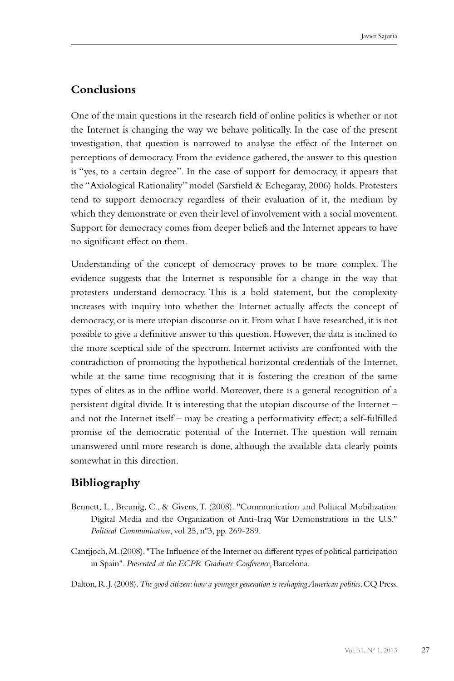## **Conclusions**

One of the main questions in the research field of online politics is whether or not the Internet is changing the way we behave politically. In the case of the present investigation, that question is narrowed to analyse the effect of the Internet on perceptions of democracy. From the evidence gathered, the answer to this question is "yes, to a certain degree". In the case of support for democracy, it appears that the "Axiological Rationality" model (Sarsfield & Echegaray, 2006) holds. Protesters tend to support democracy regardless of their evaluation of it, the medium by which they demonstrate or even their level of involvement with a social movement. Support for democracy comes from deeper beliefs and the Internet appears to have no significant effect on them.

Understanding of the concept of democracy proves to be more complex. The evidence suggests that the Internet is responsible for a change in the way that protesters understand democracy. This is a bold statement, but the complexity increases with inquiry into whether the Internet actually affects the concept of democracy, or is mere utopian discourse on it. From what I have researched, it is not possible to give a definitive answer to this question. However, the data is inclined to the more sceptical side of the spectrum. Internet activists are confronted with the contradiction of promoting the hypothetical horizontal credentials of the Internet, while at the same time recognising that it is fostering the creation of the same types of elites as in the offline world. Moreover, there is a general recognition of a persistent digital divide. It is interesting that the utopian discourse of the Internet – and not the Internet itself – may be creating a performativity effect; a self-fulfilled promise of the democratic potential of the Internet. The question will remain unanswered until more research is done, although the available data clearly points somewhat in this direction.

# **Bibliography**

- Bennett, L., Breunig, C., & Givens, T. (2008). "Communication and Political Mobilization: Digital Media and the Organization of Anti-Iraq War Demonstrations in the U.S." *Political Communication*, vol 25, nº3, pp. 269-289.
- Cantijoch, M. (2008). "The Influence of the Internet on different types of political participation in Spain". *Presented at the ECPR Graduate Conference*, Barcelona.

Dalton, R. J. (2008). *The good citizen: how a younger generation is reshaping American politics*. CQ Press.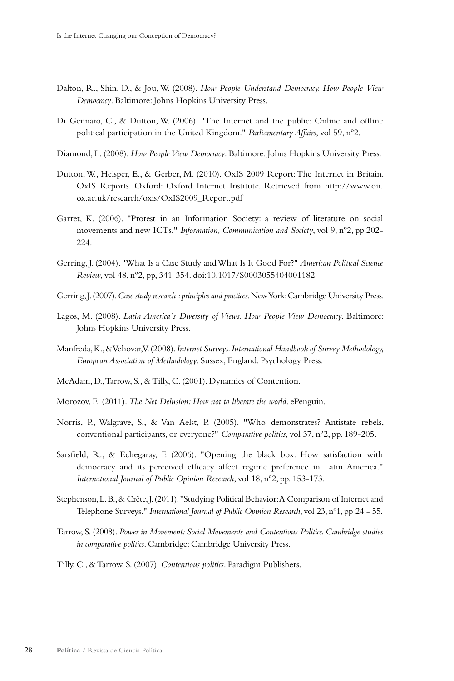- Dalton, R., Shin, D., & Jou, W. (2008). *How People Understand Democracy. How People View Democracy*. Baltimore: Johns Hopkins University Press.
- Di Gennaro, C., & Dutton, W. (2006). "The Internet and the public: Online and offline political participation in the United Kingdom." *Parliamentary Affairs*, vol 59, nº2.
- Diamond, L. (2008). *How People View Democracy*. Baltimore: Johns Hopkins University Press.
- Dutton, W., Helsper, E., & Gerber, M. (2010). OxIS 2009 Report: The Internet in Britain. OxIS Reports. Oxford: Oxford Internet Institute. Retrieved from http://www.oii. ox.ac.uk/research/oxis/OxIS2009\_Report.pdf
- Garret, K. (2006). "Protest in an Information Society: a review of literature on social movements and new ICTs." *Information, Communication and Society*, vol 9, nº2, pp.202- 224.
- Gerring, J. (2004). "What Is a Case Study and What Is It Good For?" *American Political Science Review*, vol 48, nº2, pp, 341-354. doi:10.1017/S0003055404001182
- Gerring, J. (2007). *Case study research : principles and practices*. New York: Cambridge University Press.
- Lagos, M. (2008). *Latin America´s Diversity of Views. How People View Democracy*. Baltimore: Johns Hopkins University Press.
- Manfreda, K., & Vehovar, V. (2008). *Internet Surveys. International Handbook of Survey Methodology, European Association of Methodology*. Sussex, England: Psychology Press.
- McAdam, D., Tarrow, S., & Tilly, C. (2001). Dynamics of Contention.
- Morozov, E. (2011). *The Net Delusion: How not to liberate the world*. ePenguin.
- Norris, P., Walgrave, S., & Van Aelst, P. (2005). "Who demonstrates? Antistate rebels, conventional participants, or everyone?" *Comparative politics*, vol 37, nº2, pp. 189-205.
- Sarsfield, R., & Echegaray, F. (2006). "Opening the black box: How satisfaction with democracy and its perceived efficacy affect regime preference in Latin America." *International Journal of Public Opinion Research*, vol 18, nº2, pp. 153-173.
- Stephenson, L. B., & Crête, J. (2011). "Studying Political Behavior: A Comparison of Internet and Telephone Surveys." *International Journal of Public Opinion Research*, vol 23, nº1, pp 24 - 55.
- Tarrow, S. (2008). *Power in Movement: Social Movements and Contentious Politics. Cambridge studies in comparative politics*. Cambridge: Cambridge University Press.
- Tilly, C., & Tarrow, S. (2007). *Contentious politics*. Paradigm Publishers.